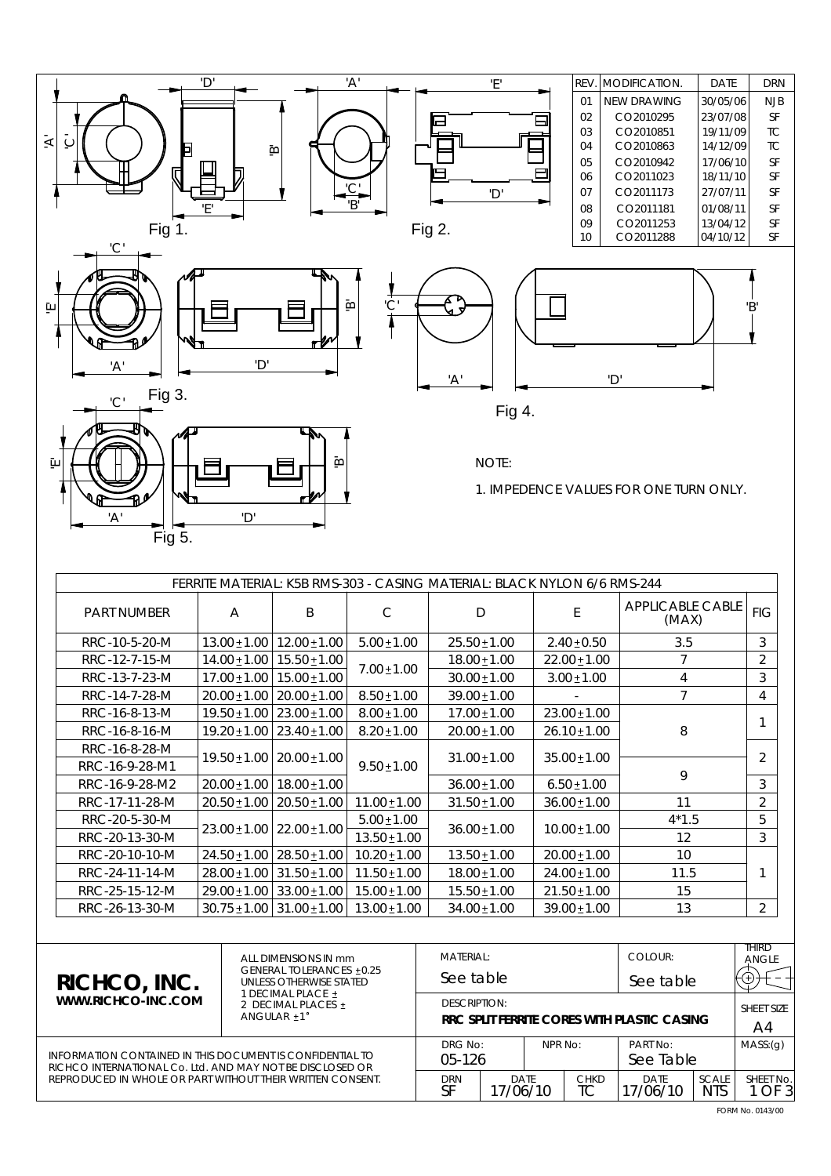

| FERRITE MATERIAL: K5B RMS-303 - CASING MATERIAL: BLACK NYLON 6/6 RMS-244 |                  |                   |                  |                  |                  |                                  |                |   |
|--------------------------------------------------------------------------|------------------|-------------------|------------------|------------------|------------------|----------------------------------|----------------|---|
| <b>PART NUMBER</b>                                                       | $\mathsf{A}$     | B                 | C                | D                | E                | <b>APPLICABLE CABLE</b><br>(MAX) | <b>FIG</b>     |   |
| RRC-10-5-20-M                                                            | $13.00 \pm 1.00$ | $12.00 \pm 1.00$  | $5.00 \pm 1.00$  | $25.50 \pm 1.00$ | $2.40 \pm 0.50$  | 3.5                              | 3              |   |
| RRC-12-7-15-M                                                            | $14.00 \pm 1.00$ | $15.50 \pm 1.00$  |                  | $18.00 \pm 1.00$ | $22.00 \pm 1.00$ |                                  | $\overline{2}$ |   |
| RRC-13-7-23-M                                                            | $17.00 \pm 1.00$ | $15.00 \pm 1.00$  | $7.00 \pm 1.00$  | $30.00 \pm 1.00$ | $3.00 \pm 1.00$  | 4                                | 3              |   |
| RRC-14-7-28-M                                                            | $20.00 \pm 1.00$ | $20.00 \pm 1.00$  | $8.50 \pm 1.00$  | $39.00 \pm 1.00$ |                  | 7                                | $\overline{4}$ |   |
| RRC-16-8-13-M                                                            | $19.50 \pm 1.00$ | $23.00 \pm 1.00$  | $8.00 \pm 1.00$  | $17.00 \pm 1.00$ | $23.00 \pm 1.00$ |                                  |                |   |
| RRC-16-8-16-M                                                            | $19.20 \pm 1.00$ | $123.40 \pm 1.00$ | $8.20 \pm 1.00$  | $20.00 \pm 1.00$ | $26.10 \pm 1.00$ | 8                                |                |   |
| RRC-16-8-28-M                                                            | $19.50 \pm 1.00$ | $120.00 \pm 1.00$ |                  | $31.00 \pm 1.00$ | $35.00 \pm 1.00$ |                                  | $\overline{2}$ |   |
| RRC-16-9-28-M1                                                           |                  |                   | $9.50 \pm 1.00$  |                  |                  | 9                                |                |   |
| RRC-16-9-28-M2                                                           | $20.00 \pm 1.00$ | 18.00±1.00        |                  | $36.00 \pm 1.00$ | $6.50 \pm 1.00$  |                                  | 3              |   |
| RRC-17-11-28-M                                                           | $20.50 \pm 1.00$ | $120.50 \pm 1.00$ | $11.00 \pm 1.00$ | $31.50 \pm 1.00$ | $36.00 \pm 1.00$ | 11                               | $\overline{2}$ |   |
| RRC-20-5-30-M                                                            |                  |                   | $22.00 \pm 1.00$ | $5.00 \pm 1.00$  | $36.00 \pm 1.00$ | $10.00 \pm 1.00$                 | $4*1.5$        | 5 |
| RRC-20-13-30-M                                                           | $23.00 \pm 1.00$ | $13.50 \pm 1.00$  |                  |                  |                  | 12                               | 3              |   |
| RRC-20-10-10-M                                                           | $24.50 \pm 1.00$ | $28.50 \pm 1.00$  | $10.20 \pm 1.00$ | $13.50 \pm 1.00$ | $20.00 \pm 1.00$ | 10                               |                |   |
| RRC-24-11-14-M                                                           | $28.00 \pm 1.00$ | $31.50 \pm 1.00$  | $11.50 \pm 1.00$ | $18.00 \pm 1.00$ | $24.00 \pm 1.00$ | 11.5                             |                |   |
| RRC-25-15-12-M                                                           | $29.00 \pm 1.00$ | $33.00 \pm 1.00$  | $15.00 \pm 1.00$ | $15.50 \pm 1.00$ | $21.50 \pm 1.00$ | 15                               |                |   |
| RRC-26-13-30-M                                                           | $30.75 \pm 1.00$ | $31.00 \pm 1.00$  | $13.00 \pm 1.00$ | $34.00 \pm 1.00$ | $39.00 \pm 1.00$ | 13                               | $\overline{2}$ |   |

| RICHCO, INC.<br>WWW.RICHCO-INC.COM                                                                                      | ALL DIMENSIONS IN mm<br>GENERAL TOLERANCES +0.25<br>UNLESS OTHERWISE STATED<br>1 DECIMAL PLACE +<br>2 DECIMAL PLACES +<br>ANGULAR $+1$ <sup>°</sup> | <b>MATERIAL:</b>                                                                                          |           |       |                   | COLOUR:                                     |            | THIRD<br>ANGLE |
|-------------------------------------------------------------------------------------------------------------------------|-----------------------------------------------------------------------------------------------------------------------------------------------------|-----------------------------------------------------------------------------------------------------------|-----------|-------|-------------------|---------------------------------------------|------------|----------------|
|                                                                                                                         |                                                                                                                                                     |                                                                                                           | See table |       |                   | See table                                   |            |                |
|                                                                                                                         |                                                                                                                                                     | DESCRIPTION:                                                                                              |           |       |                   |                                             | SHEFT SIZE |                |
|                                                                                                                         |                                                                                                                                                     |                                                                                                           |           |       |                   | RRC SPLIT FERRITE CORES WITH PLASTIC CASING |            | A4             |
|                                                                                                                         | DRG No:                                                                                                                                             |                                                                                                           | NPR No:   |       | PART No:          |                                             | MASS:(q)   |                |
| INFORMATION CONTAINED IN THIS DOCUMENT IS CONFIDENTIAL TO<br>RICHCO INTERNATIONAL Co. I td. AND MAY NOT BE DISCLOSED OR | $05-126$                                                                                                                                            |                                                                                                           |           |       | See Table         |                                             |            |                |
| REPRODUCED IN WHOLE OR PART WITHOUT THEIR WRITTEN CONSENT.                                                              |                                                                                                                                                     | <b>CHKD</b><br><b>DRN</b><br><b>DATE</b><br><b>DATF</b><br>SF<br>ТC<br><b>NTS</b><br>17/06/10<br>17/06/10 |           | SCALE | SHEET No.<br>OF 3 |                                             |            |                |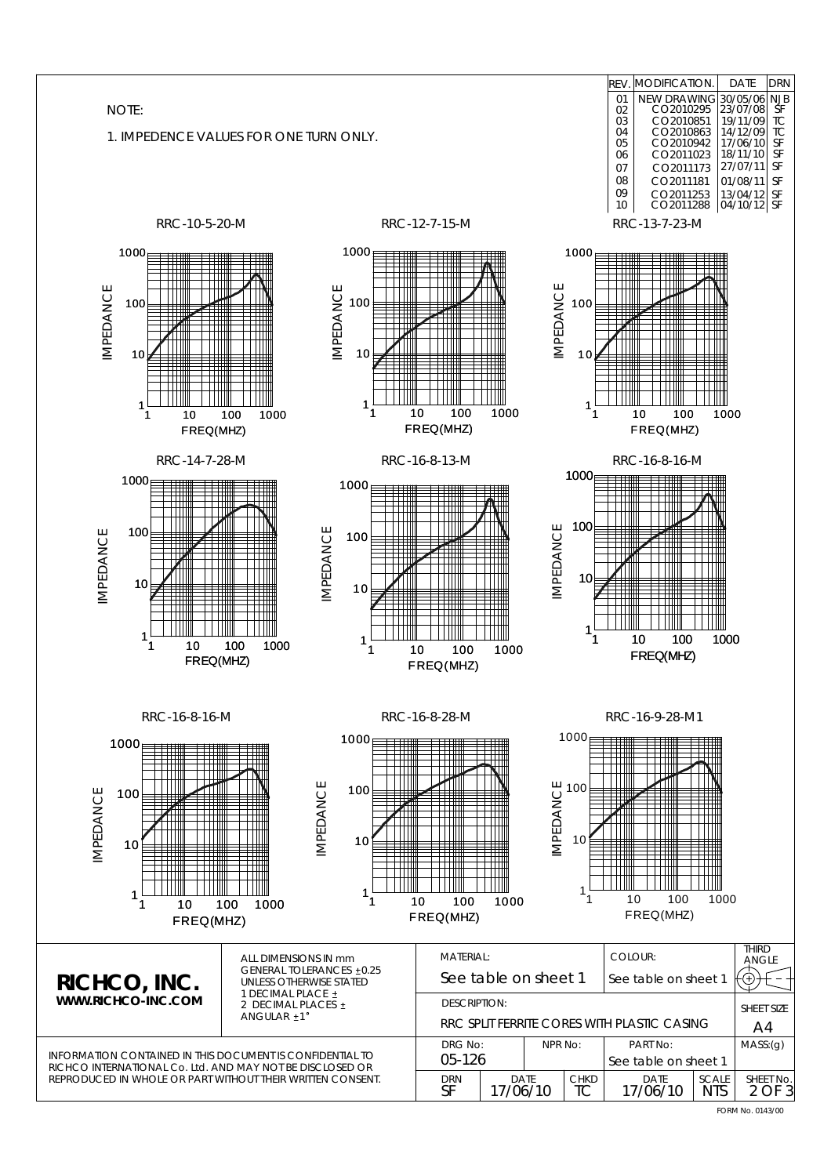| NOTE:<br>1. IMPEDENCE VALUES FOR ONE TURN ONLY.                                                                                                                                             |                                                                                                                          | REV.<br>01<br>02<br>03<br>04<br>05<br>06<br>07<br>08<br>09<br>10                                                          | MODIFICATION<br>DATE<br><b>DRN</b><br>NEW DRAWING 30/05/06 NJB<br>CO2010295 23/07/08 SF<br>CO2010295<br>CO2010851<br>19/11/09<br>TC<br>CO2010863<br>CO2010942<br>TC<br>14/12/09<br>SF<br>17/06/10<br>SF<br>18/11/10<br>CO2011023<br>27/07/11<br>SF<br>CO2011173<br>CO2011181<br>SF<br>01/08/11<br>CO2011253<br>$\begin{array}{ c c c }\n 13/04/12 & \text{SF} \\  04/10/12 & \text{SF}\n \end{array}$<br>CO2011288 |
|---------------------------------------------------------------------------------------------------------------------------------------------------------------------------------------------|--------------------------------------------------------------------------------------------------------------------------|---------------------------------------------------------------------------------------------------------------------------|--------------------------------------------------------------------------------------------------------------------------------------------------------------------------------------------------------------------------------------------------------------------------------------------------------------------------------------------------------------------------------------------------------------------|
| RRC-10-5-20-M                                                                                                                                                                               | RRC-12-7-15-M                                                                                                            |                                                                                                                           | RRC-13-7-23-M                                                                                                                                                                                                                                                                                                                                                                                                      |
| 1000 <sub>E</sub><br>ПП<br>$\mathbf{H}$<br>IMPEDANCE<br>100<br>10<br>M<br>1<br>1<br>100<br>1000<br>10<br>FREQ(MHZ)                                                                          | $1000_{B}$<br>I<br><b>IMPEDANCE</b><br>100<br>10<br>$\frac{1}{\sqrt{2}}$<br>HH<br>1<br>10<br>100<br>1<br>FREQ(MHZ)       | 1000<br>IMPEDANCE<br>100<br>10<br>---<br>1<br>1000<br>1<br>10                                                             | ┯┷<br>--<br>₩<br>Ш<br>╤╤╤<br>$\perp$ $\perp$<br>Ш<br>1000<br>100<br>FREQ(MHZ)                                                                                                                                                                                                                                                                                                                                      |
| RRC-14-7-28-M                                                                                                                                                                               | RRC-16-8-13-M                                                                                                            |                                                                                                                           | RRC-16-8-16-M                                                                                                                                                                                                                                                                                                                                                                                                      |
| 1000 <sub>f</sub><br>100<br>IMPEDANCE<br>$\blacksquare$<br>10<br>$\pm\text{m}$<br>$\Box$<br>╥╨<br>HII<br>$\perp$<br>1<br>100<br>1000<br>10<br>1<br>FREQ(MHZ)                                | 1000<br>₩<br>IMPEDANCE<br>100<br>₩<br>10<br>∰⊪<br>ŦŦ<br>T<br>1<br>1<br>100<br>10<br>FREQ(MHZ)                            | 1000 <sub>E</sub><br>Ш<br>100<br>IMPEDANCE<br>10<br>₩<br>l 1 1 11<br>1<br>1<br>10<br>1000                                 | 1 1 1 1 1<br>╫╫<br>Ш<br>₩<br>₩<br>Ш<br>100<br>1000<br>FREQ(MHZ)                                                                                                                                                                                                                                                                                                                                                    |
| RRC-16-8-16-M<br>1000<br><b>IMPEDANCE</b><br>100<br>10<br>1<br>1000<br>10<br>100<br>1<br>FREQ(MHZ)                                                                                          | RRC-16-8-28-M<br>1000 <sub>E</sub><br>1111<br>IMPEDANCE<br>100<br>ΠШ<br>10<br>▦<br>╥<br>1<br>1<br>10<br>100<br>FREQ(MHZ) | 1000 <sub>1</sub><br>$\begin{array}{l}\n\cup\\ \cup\\ \subseteq\\ \subseteq\n\end{array}$<br>1 1 1 1 1<br>10<br>1000<br>1 | RRC-16-9-28-M1<br>Ш<br>- I I I I<br>III<br>100<br>1000<br>FREQ(MHZ)                                                                                                                                                                                                                                                                                                                                                |
| ALL DIMENSIONS IN mm<br>RICHCO, INC.<br>UNLESS OTHERWISE STATED<br>1 DECIMAL PLACE ±<br>WWW.RICHCO-INC.COM<br>2 DECIMAL PLACES ±<br>ANGULAR ±1°                                             | MATERIAL:<br><b>GENERAL TOLERANCES ±0.25</b><br><b>DESCRIPTION:</b>                                                      | COLOUR:<br>See table on sheet 1<br>RRC SPLIT FERRITE CORES WITH PLASTIC CASING                                            | <b>THIRD</b><br>ANGLE<br>See table on sheet 1<br>SHEET SIZE<br>A4                                                                                                                                                                                                                                                                                                                                                  |
| <b>INFORMATION CONTAINED IN THIS DOCUMENT IS CONFIDENTIAL TO</b><br>RICHCO INTERNATIONAL Co. Ltd. AND MAY NOT BE DISCLOSED OR<br>REPRODUCED IN WHOLE OR PART WITHOUT THEIR WRITTEN CONSENT. | DRG No:<br>05-126<br><b>DRN</b><br>SF                                                                                    | NPR No:<br>DATE<br>CHKD<br>17/06/10<br>ТC                                                                                 | MASS: (g)<br>PART No:<br>See table on sheet 1<br>DATE<br>SCALE<br>SHEET No.<br>17/06/10<br>2 OF 3<br><b>NTS</b>                                                                                                                                                                                                                                                                                                    |